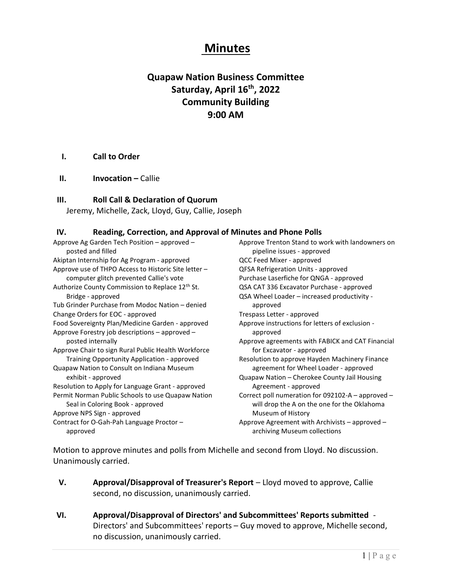# Minutes

# Quapaw Nation Business Committee Saturday, April 16<sup>th</sup>, 2022 Community Building 9:00 AM

#### I. Call to Order

II. Invocation – Callie

#### III. Roll Call & Declaration of Quorum

Jeremy, Michelle, Zack, Lloyd, Guy, Callie, Joseph

#### IV. Reading, Correction, and Approval of Minutes and Phone Polls

Approve Ag Garden Tech Position – approved – posted and filled Akiptan Internship for Ag Program - approved Approve use of THPO Access to Historic Site letter – computer glitch prevented Callie's vote Authorize County Commission to Replace 12<sup>th</sup> St. Bridge - approved Tub Grinder Purchase from Modoc Nation – denied Change Orders for EOC - approved Food Sovereignty Plan/Medicine Garden - approved Approve Forestry job descriptions – approved – posted internally Approve Chair to sign Rural Public Health Workforce Training Opportunity Application - approved Quapaw Nation to Consult on Indiana Museum exhibit - approved Resolution to Apply for Language Grant - approved Permit Norman Public Schools to use Quapaw Nation Seal in Coloring Book - approved Approve NPS Sign - approved Contract for O-Gah-Pah Language Proctor – approved

Approve Trenton Stand to work with landowners on pipeline issues - approved QCC Feed Mixer - approved QFSA Refrigeration Units - approved Purchase Laserfiche for QNGA - approved QSA CAT 336 Excavator Purchase - approved QSA Wheel Loader – increased productivity approved Trespass Letter - approved Approve instructions for letters of exclusion approved Approve agreements with FABICK and CAT Financial for Excavator - approved Resolution to approve Hayden Machinery Finance agreement for Wheel Loader - approved Quapaw Nation – Cherokee County Jail Housing Agreement - approved Correct poll numeration for 092102-A – approved – will drop the A on the one for the Oklahoma Museum of History Approve Agreement with Archivists – approved – archiving Museum collections

Motion to approve minutes and polls from Michelle and second from Lloyd. No discussion. Unanimously carried.

- V. Approval/Disapproval of Treasurer's Report Lloyd moved to approve, Callie second, no discussion, unanimously carried.
- VI. Approval/Disapproval of Directors' and Subcommittees' Reports submitted Directors' and Subcommittees' reports – Guy moved to approve, Michelle second, no discussion, unanimously carried.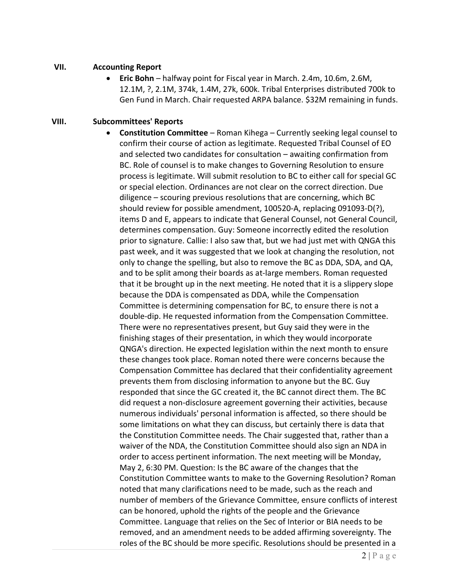#### VII. Accounting Report

**Eric Bohn** – halfway point for Fiscal year in March. 2.4m, 10.6m, 2.6M, 12.1M, ?, 2.1M, 374k, 1.4M, 27k, 600k. Tribal Enterprises distributed 700k to Gen Fund in March. Chair requested ARPA balance. \$32M remaining in funds.

### VIII. Subcommittees' Reports

 Constitution Committee – Roman Kihega – Currently seeking legal counsel to confirm their course of action as legitimate. Requested Tribal Counsel of EO and selected two candidates for consultation – awaiting confirmation from BC. Role of counsel is to make changes to Governing Resolution to ensure process is legitimate. Will submit resolution to BC to either call for special GC or special election. Ordinances are not clear on the correct direction. Due diligence – scouring previous resolutions that are concerning, which BC should review for possible amendment, 100520-A, replacing 091093-D(?), items D and E, appears to indicate that General Counsel, not General Council, determines compensation. Guy: Someone incorrectly edited the resolution prior to signature. Callie: I also saw that, but we had just met with QNGA this past week, and it was suggested that we look at changing the resolution, not only to change the spelling, but also to remove the BC as DDA, SDA, and QA, and to be split among their boards as at-large members. Roman requested that it be brought up in the next meeting. He noted that it is a slippery slope because the DDA is compensated as DDA, while the Compensation Committee is determining compensation for BC, to ensure there is not a double-dip. He requested information from the Compensation Committee. There were no representatives present, but Guy said they were in the finishing stages of their presentation, in which they would incorporate QNGA's direction. He expected legislation within the next month to ensure these changes took place. Roman noted there were concerns because the Compensation Committee has declared that their confidentiality agreement prevents them from disclosing information to anyone but the BC. Guy responded that since the GC created it, the BC cannot direct them. The BC did request a non-disclosure agreement governing their activities, because numerous individuals' personal information is affected, so there should be some limitations on what they can discuss, but certainly there is data that the Constitution Committee needs. The Chair suggested that, rather than a waiver of the NDA, the Constitution Committee should also sign an NDA in order to access pertinent information. The next meeting will be Monday, May 2, 6:30 PM. Question: Is the BC aware of the changes that the Constitution Committee wants to make to the Governing Resolution? Roman noted that many clarifications need to be made, such as the reach and number of members of the Grievance Committee, ensure conflicts of interest can be honored, uphold the rights of the people and the Grievance Committee. Language that relies on the Sec of Interior or BIA needs to be removed, and an amendment needs to be added affirming sovereignty. The roles of the BC should be more specific. Resolutions should be presented in a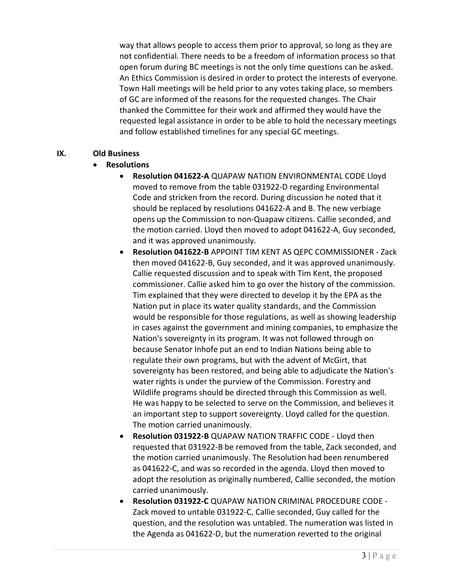way that allows people to access them prior to approval, so long as they are not confidential. There needs to be a freedom of information process so that open forum during BC meetings is not the only time questions can be asked. An Ethics Commission is desired in order to protect the interests of everyone. Town Hall meetings will be held prior to any votes taking place, so members of GC are informed of the reasons for the requested changes. The Chair thanked the Committee for their work and affirmed they would have the requested legal assistance in order to be able to hold the necessary meetings and follow established timelines for any special GC meetings.

#### IX. Old Business

# Resolutions

- Resolution 041622-A QUAPAW NATION ENVIRONMENTAL CODE Lloyd moved to remove from the table 031922-D regarding Environmental Code and stricken from the record. During discussion he noted that it should be replaced by resolutions 041622-A and B. The new verbiage opens up the Commission to non-Quapaw citizens. Callie seconded, and the motion carried. Lloyd then moved to adopt 041622-A, Guy seconded, and it was approved unanimously.
- Resolution 041622-B APPOINT TIM KENT AS QEPC COMMISSIONER Zack then moved 041622-B, Guy seconded, and it was approved unanimously. Callie requested discussion and to speak with Tim Kent, the proposed commissioner. Callie asked him to go over the history of the commission. Tim explained that they were directed to develop it by the EPA as the Nation put in place its water quality standards, and the Commission would be responsible for those regulations, as well as showing leadership in cases against the government and mining companies, to emphasize the Nation's sovereignty in its program. It was not followed through on because Senator Inhofe put an end to Indian Nations being able to regulate their own programs, but with the advent of McGirt, that sovereignty has been restored, and being able to adjudicate the Nation's water rights is under the purview of the Commission. Forestry and Wildlife programs should be directed through this Commission as well. He was happy to be selected to serve on the Commission, and believes it an important step to support sovereignty. Lloyd called for the question. The motion carried unanimously.
- Resolution 031922-B QUAPAW NATION TRAFFIC CODE Lloyd then requested that 031922-B be removed from the table, Zack seconded, and the motion carried unanimously. The Resolution had been renumbered as 041622-C, and was so recorded in the agenda. Lloyd then moved to adopt the resolution as originally numbered, Callie seconded, the motion carried unanimously.
- Resolution 031922-C QUAPAW NATION CRIMINAL PROCEDURE CODE Zack moved to untable 031922-C, Callie seconded, Guy called for the question, and the resolution was untabled. The numeration was listed in the Agenda as 041622-D, but the numeration reverted to the original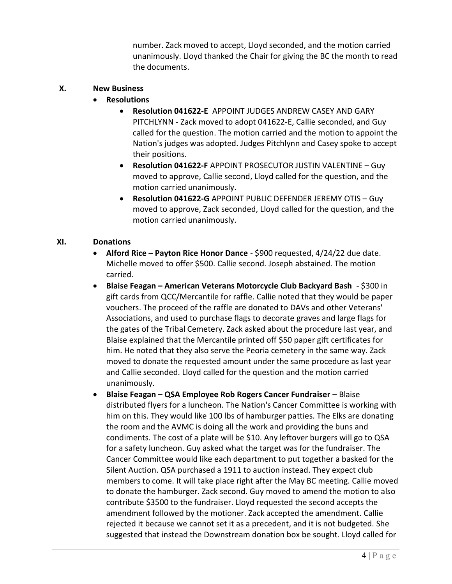number. Zack moved to accept, Lloyd seconded, and the motion carried unanimously. Lloyd thanked the Chair for giving the BC the month to read the documents.

#### X. New Business

- Resolutions
	- Resolution 041622-E APPOINT JUDGES ANDREW CASEY AND GARY PITCHLYNN - Zack moved to adopt 041622-E, Callie seconded, and Guy called for the question. The motion carried and the motion to appoint the Nation's judges was adopted. Judges Pitchlynn and Casey spoke to accept their positions.
	- Resolution 041622-F APPOINT PROSECUTOR JUSTIN VALENTINE Guy moved to approve, Callie second, Lloyd called for the question, and the motion carried unanimously.
	- Resolution 041622-G APPOINT PUBLIC DEFENDER JEREMY OTIS Guy moved to approve, Zack seconded, Lloyd called for the question, and the motion carried unanimously.

# XI. Donations

- Alford Rice Payton Rice Honor Dance \$900 requested, 4/24/22 due date. Michelle moved to offer \$500. Callie second. Joseph abstained. The motion carried.
- Blaise Feagan American Veterans Motorcycle Club Backyard Bash \$300 in gift cards from QCC/Mercantile for raffle. Callie noted that they would be paper vouchers. The proceed of the raffle are donated to DAVs and other Veterans' Associations, and used to purchase flags to decorate graves and large flags for the gates of the Tribal Cemetery. Zack asked about the procedure last year, and Blaise explained that the Mercantile printed off \$50 paper gift certificates for him. He noted that they also serve the Peoria cemetery in the same way. Zack moved to donate the requested amount under the same procedure as last year and Callie seconded. Lloyd called for the question and the motion carried unanimously.
- Blaise Feagan QSA Employee Rob Rogers Cancer Fundraiser Blaise distributed flyers for a luncheon. The Nation's Cancer Committee is working with him on this. They would like 100 lbs of hamburger patties. The Elks are donating the room and the AVMC is doing all the work and providing the buns and condiments. The cost of a plate will be \$10. Any leftover burgers will go to QSA for a safety luncheon. Guy asked what the target was for the fundraiser. The Cancer Committee would like each department to put together a basked for the Silent Auction. QSA purchased a 1911 to auction instead. They expect club members to come. It will take place right after the May BC meeting. Callie moved to donate the hamburger. Zack second. Guy moved to amend the motion to also contribute \$3500 to the fundraiser. Lloyd requested the second accepts the amendment followed by the motioner. Zack accepted the amendment. Callie rejected it because we cannot set it as a precedent, and it is not budgeted. She suggested that instead the Downstream donation box be sought. Lloyd called for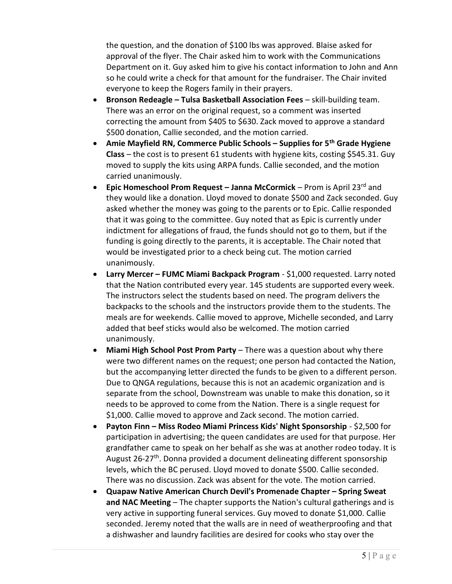the question, and the donation of \$100 lbs was approved. Blaise asked for approval of the flyer. The Chair asked him to work with the Communications Department on it. Guy asked him to give his contact information to John and Ann so he could write a check for that amount for the fundraiser. The Chair invited everyone to keep the Rogers family in their prayers.

- **Bronson Redeagle Tulsa Basketball Association Fees skill-building team.** There was an error on the original request, so a comment was inserted correcting the amount from \$405 to \$630. Zack moved to approve a standard \$500 donation, Callie seconded, and the motion carried.
- Amie Mayfield RN, Commerce Public Schools Supplies for  $5<sup>th</sup>$  Grade Hygiene Class – the cost is to present 61 students with hygiene kits, costing \$545.31. Guy moved to supply the kits using ARPA funds. Callie seconded, and the motion carried unanimously.
- **•** Epic Homeschool Prom Request Janna McCormick Prom is April 23<sup>rd</sup> and they would like a donation. Lloyd moved to donate \$500 and Zack seconded. Guy asked whether the money was going to the parents or to Epic. Callie responded that it was going to the committee. Guy noted that as Epic is currently under indictment for allegations of fraud, the funds should not go to them, but if the funding is going directly to the parents, it is acceptable. The Chair noted that would be investigated prior to a check being cut. The motion carried unanimously.
- Larry Mercer FUMC Miami Backpack Program \$1,000 requested. Larry noted that the Nation contributed every year. 145 students are supported every week. The instructors select the students based on need. The program delivers the backpacks to the schools and the instructors provide them to the students. The meals are for weekends. Callie moved to approve, Michelle seconded, and Larry added that beef sticks would also be welcomed. The motion carried unanimously.
- Miami High School Post Prom Party There was a question about why there were two different names on the request; one person had contacted the Nation, but the accompanying letter directed the funds to be given to a different person. Due to QNGA regulations, because this is not an academic organization and is separate from the school, Downstream was unable to make this donation, so it needs to be approved to come from the Nation. There is a single request for \$1,000. Callie moved to approve and Zack second. The motion carried.
- Payton Finn Miss Rodeo Miami Princess Kids' Night Sponsorship \$2,500 for participation in advertising; the queen candidates are used for that purpose. Her grandfather came to speak on her behalf as she was at another rodeo today. It is August 26-27<sup>th</sup>. Donna provided a document delineating different sponsorship levels, which the BC perused. Lloyd moved to donate \$500. Callie seconded. There was no discussion. Zack was absent for the vote. The motion carried.
- Quapaw Native American Church Devil's Promenade Chapter Spring Sweat and NAC Meeting – The chapter supports the Nation's cultural gatherings and is very active in supporting funeral services. Guy moved to donate \$1,000. Callie seconded. Jeremy noted that the walls are in need of weatherproofing and that a dishwasher and laundry facilities are desired for cooks who stay over the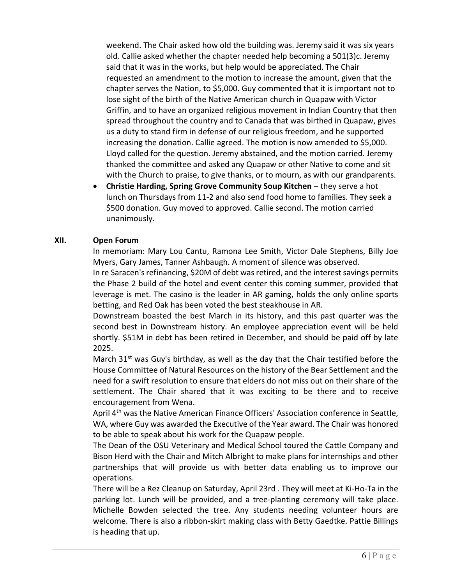weekend. The Chair asked how old the building was. Jeremy said it was six years old. Callie asked whether the chapter needed help becoming a 501(3)c. Jeremy said that it was in the works, but help would be appreciated. The Chair requested an amendment to the motion to increase the amount, given that the chapter serves the Nation, to \$5,000. Guy commented that it is important not to lose sight of the birth of the Native American church in Quapaw with Victor Griffin, and to have an organized religious movement in Indian Country that then spread throughout the country and to Canada that was birthed in Quapaw, gives us a duty to stand firm in defense of our religious freedom, and he supported increasing the donation. Callie agreed. The motion is now amended to \$5,000. Lloyd called for the question. Jeremy abstained, and the motion carried. Jeremy thanked the committee and asked any Quapaw or other Native to come and sit with the Church to praise, to give thanks, or to mourn, as with our grandparents.

 Christie Harding, Spring Grove Community Soup Kitchen – they serve a hot lunch on Thursdays from 11-2 and also send food home to families. They seek a \$500 donation. Guy moved to approved. Callie second. The motion carried unanimously.

#### XII. Open Forum

In memoriam: Mary Lou Cantu, Ramona Lee Smith, Victor Dale Stephens, Billy Joe Myers, Gary James, Tanner Ashbaugh. A moment of silence was observed.

In re Saracen's refinancing, \$20M of debt was retired, and the interest savings permits the Phase 2 build of the hotel and event center this coming summer, provided that leverage is met. The casino is the leader in AR gaming, holds the only online sports betting, and Red Oak has been voted the best steakhouse in AR.

Downstream boasted the best March in its history, and this past quarter was the second best in Downstream history. An employee appreciation event will be held shortly. \$51M in debt has been retired in December, and should be paid off by late 2025.

March  $31^{st}$  was Guy's birthday, as well as the day that the Chair testified before the House Committee of Natural Resources on the history of the Bear Settlement and the need for a swift resolution to ensure that elders do not miss out on their share of the settlement. The Chair shared that it was exciting to be there and to receive encouragement from Wena.

April 4<sup>th</sup> was the Native American Finance Officers' Association conference in Seattle, WA, where Guy was awarded the Executive of the Year award. The Chair was honored to be able to speak about his work for the Quapaw people.

The Dean of the OSU Veterinary and Medical School toured the Cattle Company and Bison Herd with the Chair and Mitch Albright to make plans for internships and other partnerships that will provide us with better data enabling us to improve our operations.

There will be a Rez Cleanup on Saturday, April 23rd . They will meet at Ki-Ho-Ta in the parking lot. Lunch will be provided, and a tree-planting ceremony will take place. Michelle Bowden selected the tree. Any students needing volunteer hours are welcome. There is also a ribbon-skirt making class with Betty Gaedtke. Pattie Billings is heading that up.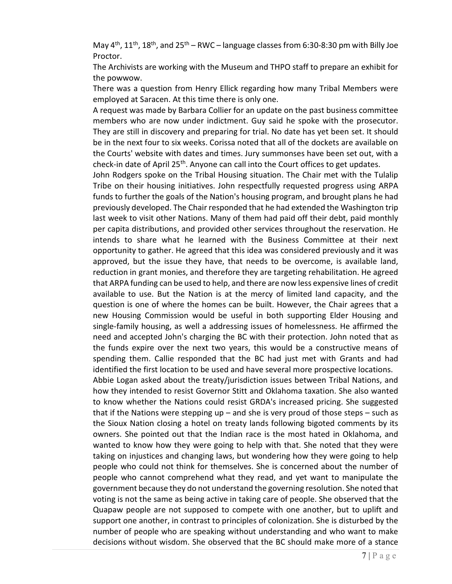May  $4<sup>th</sup>$ ,  $11<sup>th</sup>$ ,  $18<sup>th</sup>$ , and  $25<sup>th</sup>$  – RWC – language classes from 6:30-8:30 pm with Billy Joe Proctor.

The Archivists are working with the Museum and THPO staff to prepare an exhibit for the powwow.

There was a question from Henry Ellick regarding how many Tribal Members were employed at Saracen. At this time there is only one.

A request was made by Barbara Collier for an update on the past business committee members who are now under indictment. Guy said he spoke with the prosecutor. They are still in discovery and preparing for trial. No date has yet been set. It should be in the next four to six weeks. Corissa noted that all of the dockets are available on the Courts' website with dates and times. Jury summonses have been set out, with a check-in date of April 25<sup>th</sup>. Anyone can call into the Court offices to get updates.

John Rodgers spoke on the Tribal Housing situation. The Chair met with the Tulalip Tribe on their housing initiatives. John respectfully requested progress using ARPA funds to further the goals of the Nation's housing program, and brought plans he had previously developed. The Chair responded that he had extended the Washington trip last week to visit other Nations. Many of them had paid off their debt, paid monthly per capita distributions, and provided other services throughout the reservation. He intends to share what he learned with the Business Committee at their next opportunity to gather. He agreed that this idea was considered previously and it was approved, but the issue they have, that needs to be overcome, is available land, reduction in grant monies, and therefore they are targeting rehabilitation. He agreed that ARPA funding can be used to help, and there are now less expensive lines of credit available to use. But the Nation is at the mercy of limited land capacity, and the question is one of where the homes can be built. However, the Chair agrees that a new Housing Commission would be useful in both supporting Elder Housing and single-family housing, as well a addressing issues of homelessness. He affirmed the need and accepted John's charging the BC with their protection. John noted that as the funds expire over the next two years, this would be a constructive means of spending them. Callie responded that the BC had just met with Grants and had identified the first location to be used and have several more prospective locations.

Abbie Logan asked about the treaty/jurisdiction issues between Tribal Nations, and how they intended to resist Governor Stitt and Oklahoma taxation. She also wanted to know whether the Nations could resist GRDA's increased pricing. She suggested that if the Nations were stepping up – and she is very proud of those steps – such as the Sioux Nation closing a hotel on treaty lands following bigoted comments by its owners. She pointed out that the Indian race is the most hated in Oklahoma, and wanted to know how they were going to help with that. She noted that they were taking on injustices and changing laws, but wondering how they were going to help people who could not think for themselves. She is concerned about the number of people who cannot comprehend what they read, and yet want to manipulate the government because they do not understand the governing resolution. She noted that voting is not the same as being active in taking care of people. She observed that the Quapaw people are not supposed to compete with one another, but to uplift and support one another, in contrast to principles of colonization. She is disturbed by the number of people who are speaking without understanding and who want to make decisions without wisdom. She observed that the BC should make more of a stance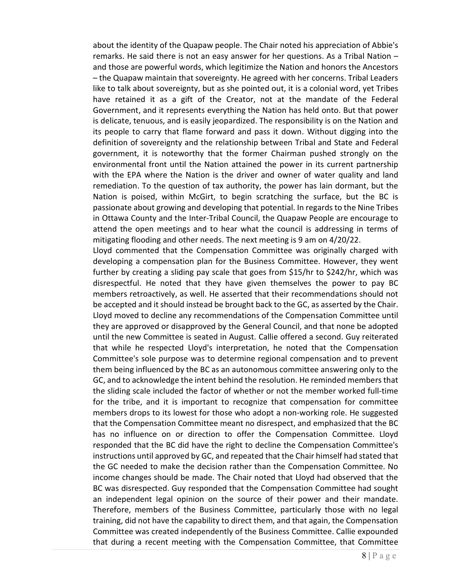about the identity of the Quapaw people. The Chair noted his appreciation of Abbie's remarks. He said there is not an easy answer for her questions. As a Tribal Nation – and those are powerful words, which legitimize the Nation and honors the Ancestors – the Quapaw maintain that sovereignty. He agreed with her concerns. Tribal Leaders like to talk about sovereignty, but as she pointed out, it is a colonial word, yet Tribes have retained it as a gift of the Creator, not at the mandate of the Federal Government, and it represents everything the Nation has held onto. But that power is delicate, tenuous, and is easily jeopardized. The responsibility is on the Nation and its people to carry that flame forward and pass it down. Without digging into the definition of sovereignty and the relationship between Tribal and State and Federal government, it is noteworthy that the former Chairman pushed strongly on the environmental front until the Nation attained the power in its current partnership with the EPA where the Nation is the driver and owner of water quality and land remediation. To the question of tax authority, the power has lain dormant, but the Nation is poised, within McGirt, to begin scratching the surface, but the BC is passionate about growing and developing that potential. In regards to the Nine Tribes in Ottawa County and the Inter-Tribal Council, the Quapaw People are encourage to attend the open meetings and to hear what the council is addressing in terms of mitigating flooding and other needs. The next meeting is 9 am on 4/20/22.

Lloyd commented that the Compensation Committee was originally charged with developing a compensation plan for the Business Committee. However, they went further by creating a sliding pay scale that goes from \$15/hr to \$242/hr, which was disrespectful. He noted that they have given themselves the power to pay BC members retroactively, as well. He asserted that their recommendations should not be accepted and it should instead be brought back to the GC, as asserted by the Chair. Lloyd moved to decline any recommendations of the Compensation Committee until they are approved or disapproved by the General Council, and that none be adopted until the new Committee is seated in August. Callie offered a second. Guy reiterated that while he respected Lloyd's interpretation, he noted that the Compensation Committee's sole purpose was to determine regional compensation and to prevent them being influenced by the BC as an autonomous committee answering only to the GC, and to acknowledge the intent behind the resolution. He reminded members that the sliding scale included the factor of whether or not the member worked full-time for the tribe, and it is important to recognize that compensation for committee members drops to its lowest for those who adopt a non-working role. He suggested that the Compensation Committee meant no disrespect, and emphasized that the BC has no influence on or direction to offer the Compensation Committee. Lloyd responded that the BC did have the right to decline the Compensation Committee's instructions until approved by GC, and repeated that the Chair himself had stated that the GC needed to make the decision rather than the Compensation Committee. No income changes should be made. The Chair noted that Lloyd had observed that the BC was disrespected. Guy responded that the Compensation Committee had sought an independent legal opinion on the source of their power and their mandate. Therefore, members of the Business Committee, particularly those with no legal training, did not have the capability to direct them, and that again, the Compensation Committee was created independently of the Business Committee. Callie expounded that during a recent meeting with the Compensation Committee, that Committee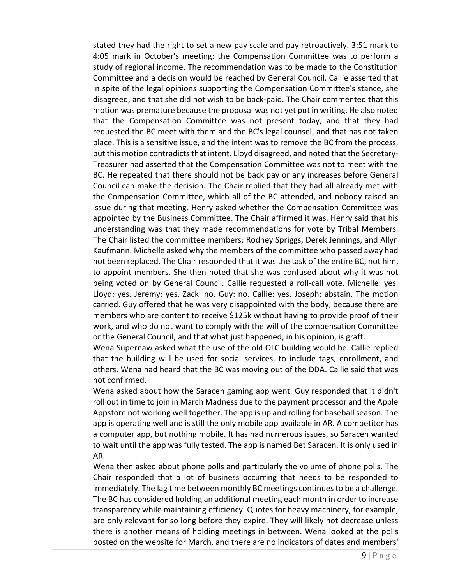stated they had the right to set a new pay scale and pay retroactively. 3:51 mark to 4:05 mark in October's meeting: the Compensation Committee was to perform a study of regional income. The recommendation was to be made to the Constitution Committee and a decision would be reached by General Council. Callie asserted that in spite of the legal opinions supporting the Compensation Committee's stance, she disagreed, and that she did not wish to be back-paid. The Chair commented that this motion was premature because the proposal was not yet put in writing. He also noted that the Compensation Committee was not present today, and that they had requested the BC meet with them and the BC's legal counsel, and that has not taken place. This is a sensitive issue, and the intent was to remove the BC from the process, but this motion contradicts that intent. Lloyd disagreed, and noted that the Secretary-Treasurer had asserted that the Compensation Committee was not to meet with the BC. He repeated that there should not be back pay or any increases before General Council can make the decision. The Chair replied that they had all already met with the Compensation Committee, which all of the BC attended, and nobody raised an issue during that meeting. Henry asked whether the Compensation Committee was appointed by the Business Committee. The Chair affirmed it was. Henry said that his understanding was that they made recommendations for vote by Tribal Members. The Chair listed the committee members: Rodney Spriggs, Derek Jennings, and Allyn Kaufmann. Michelle asked why the members of the committee who passed away had not been replaced. The Chair responded that it was the task of the entire BC, not him, to appoint members. She then noted that she was confused about why it was not being voted on by General Council. Callie requested a roll-call vote. Michelle: yes. Lloyd: yes. Jeremy: yes. Zack: no. Guy: no. Callie: yes. Joseph: abstain. The motion carried. Guy offered that he was very disappointed with the body, because there are members who are content to receive \$125k without having to provide proof of their work, and who do not want to comply with the will of the compensation Committee or the General Council, and that what just happened, in his opinion, is graft.

Wena Supernaw asked what the use of the old OLC building would be. Callie replied that the building will be used for social services, to include tags, enrollment, and others. Wena had heard that the BC was moving out of the DDA. Callie said that was not confirmed.

Wena asked about how the Saracen gaming app went. Guy responded that it didn't roll out in time to join in March Madness due to the payment processor and the Apple Appstore not working well together. The app is up and rolling for baseball season. The app is operating well and is still the only mobile app available in AR. A competitor has a computer app, but nothing mobile. It has had numerous issues, so Saracen wanted to wait until the app was fully tested. The app is named Bet Saracen. It is only used in AR.

Wena then asked about phone polls and particularly the volume of phone polls. The Chair responded that a lot of business occurring that needs to be responded to immediately. The lag time between monthly BC meetings continues to be a challenge. The BC has considered holding an additional meeting each month in order to increase transparency while maintaining efficiency. Quotes for heavy machinery, for example, are only relevant for so long before they expire. They will likely not decrease unless there is another means of holding meetings in between. Wena looked at the polls posted on the website for March, and there are no indicators of dates and members'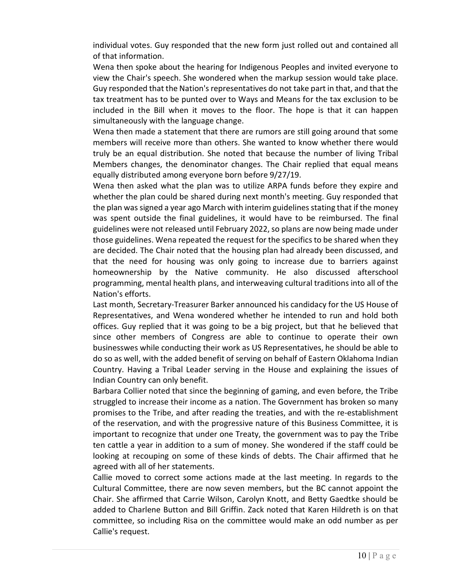individual votes. Guy responded that the new form just rolled out and contained all of that information.

Wena then spoke about the hearing for Indigenous Peoples and invited everyone to view the Chair's speech. She wondered when the markup session would take place. Guy responded that the Nation's representatives do not take part in that, and that the tax treatment has to be punted over to Ways and Means for the tax exclusion to be included in the Bill when it moves to the floor. The hope is that it can happen simultaneously with the language change.

Wena then made a statement that there are rumors are still going around that some members will receive more than others. She wanted to know whether there would truly be an equal distribution. She noted that because the number of living Tribal Members changes, the denominator changes. The Chair replied that equal means equally distributed among everyone born before 9/27/19.

Wena then asked what the plan was to utilize ARPA funds before they expire and whether the plan could be shared during next month's meeting. Guy responded that the plan was signed a year ago March with interim guidelines stating that if the money was spent outside the final guidelines, it would have to be reimbursed. The final guidelines were not released until February 2022, so plans are now being made under those guidelines. Wena repeated the request for the specifics to be shared when they are decided. The Chair noted that the housing plan had already been discussed, and that the need for housing was only going to increase due to barriers against homeownership by the Native community. He also discussed afterschool programming, mental health plans, and interweaving cultural traditions into all of the Nation's efforts.

Last month, Secretary-Treasurer Barker announced his candidacy for the US House of Representatives, and Wena wondered whether he intended to run and hold both offices. Guy replied that it was going to be a big project, but that he believed that since other members of Congress are able to continue to operate their own businesswes while conducting their work as US Representatives, he should be able to do so as well, with the added benefit of serving on behalf of Eastern Oklahoma Indian Country. Having a Tribal Leader serving in the House and explaining the issues of Indian Country can only benefit.

Barbara Collier noted that since the beginning of gaming, and even before, the Tribe struggled to increase their income as a nation. The Government has broken so many promises to the Tribe, and after reading the treaties, and with the re-establishment of the reservation, and with the progressive nature of this Business Committee, it is important to recognize that under one Treaty, the government was to pay the Tribe ten cattle a year in addition to a sum of money. She wondered if the staff could be looking at recouping on some of these kinds of debts. The Chair affirmed that he agreed with all of her statements.

Callie moved to correct some actions made at the last meeting. In regards to the Cultural Committee, there are now seven members, but the BC cannot appoint the Chair. She affirmed that Carrie Wilson, Carolyn Knott, and Betty Gaedtke should be added to Charlene Button and Bill Griffin. Zack noted that Karen Hildreth is on that committee, so including Risa on the committee would make an odd number as per Callie's request.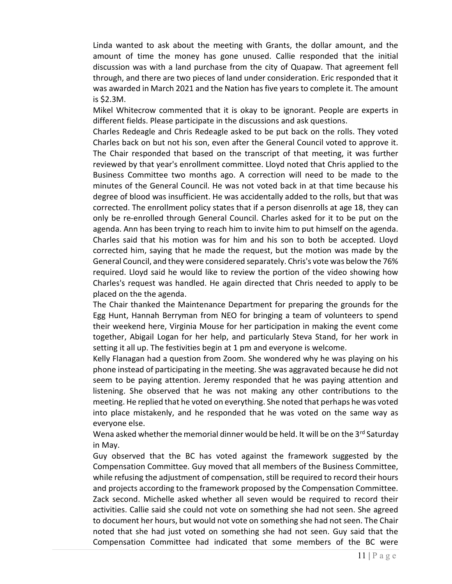Linda wanted to ask about the meeting with Grants, the dollar amount, and the amount of time the money has gone unused. Callie responded that the initial discussion was with a land purchase from the city of Quapaw. That agreement fell through, and there are two pieces of land under consideration. Eric responded that it was awarded in March 2021 and the Nation has five years to complete it. The amount is \$2.3M.

Mikel Whitecrow commented that it is okay to be ignorant. People are experts in different fields. Please participate in the discussions and ask questions.

Charles Redeagle and Chris Redeagle asked to be put back on the rolls. They voted Charles back on but not his son, even after the General Council voted to approve it. The Chair responded that based on the transcript of that meeting, it was further reviewed by that year's enrollment committee. Lloyd noted that Chris applied to the Business Committee two months ago. A correction will need to be made to the minutes of the General Council. He was not voted back in at that time because his degree of blood was insufficient. He was accidentally added to the rolls, but that was corrected. The enrollment policy states that if a person disenrolls at age 18, they can only be re-enrolled through General Council. Charles asked for it to be put on the agenda. Ann has been trying to reach him to invite him to put himself on the agenda. Charles said that his motion was for him and his son to both be accepted. Lloyd corrected him, saying that he made the request, but the motion was made by the General Council, and they were considered separately. Chris's vote was below the 76% required. Lloyd said he would like to review the portion of the video showing how Charles's request was handled. He again directed that Chris needed to apply to be placed on the the agenda.

The Chair thanked the Maintenance Department for preparing the grounds for the Egg Hunt, Hannah Berryman from NEO for bringing a team of volunteers to spend their weekend here, Virginia Mouse for her participation in making the event come together, Abigail Logan for her help, and particularly Steva Stand, for her work in setting it all up. The festivities begin at 1 pm and everyone is welcome.

Kelly Flanagan had a question from Zoom. She wondered why he was playing on his phone instead of participating in the meeting. She was aggravated because he did not seem to be paying attention. Jeremy responded that he was paying attention and listening. She observed that he was not making any other contributions to the meeting. He replied that he voted on everything. She noted that perhaps he was voted into place mistakenly, and he responded that he was voted on the same way as everyone else.

Wena asked whether the memorial dinner would be held. It will be on the 3<sup>rd</sup> Saturday in May.

Guy observed that the BC has voted against the framework suggested by the Compensation Committee. Guy moved that all members of the Business Committee, while refusing the adjustment of compensation, still be required to record their hours and projects according to the framework proposed by the Compensation Committee. Zack second. Michelle asked whether all seven would be required to record their activities. Callie said she could not vote on something she had not seen. She agreed to document her hours, but would not vote on something she had not seen. The Chair noted that she had just voted on something she had not seen. Guy said that the Compensation Committee had indicated that some members of the BC were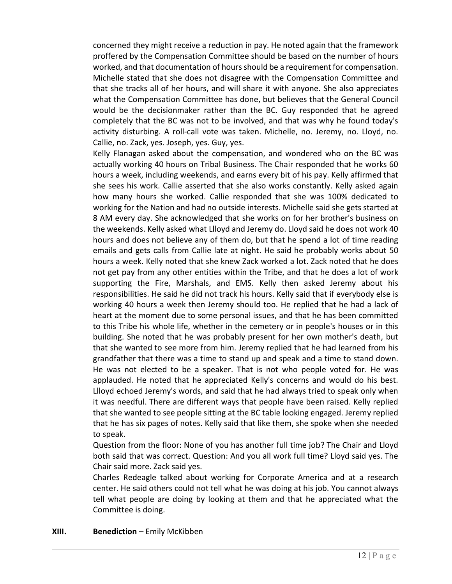concerned they might receive a reduction in pay. He noted again that the framework proffered by the Compensation Committee should be based on the number of hours worked, and that documentation of hours should be a requirement for compensation. Michelle stated that she does not disagree with the Compensation Committee and that she tracks all of her hours, and will share it with anyone. She also appreciates what the Compensation Committee has done, but believes that the General Council would be the decisionmaker rather than the BC. Guy responded that he agreed completely that the BC was not to be involved, and that was why he found today's activity disturbing. A roll-call vote was taken. Michelle, no. Jeremy, no. Lloyd, no. Callie, no. Zack, yes. Joseph, yes. Guy, yes.

Kelly Flanagan asked about the compensation, and wondered who on the BC was actually working 40 hours on Tribal Business. The Chair responded that he works 60 hours a week, including weekends, and earns every bit of his pay. Kelly affirmed that she sees his work. Callie asserted that she also works constantly. Kelly asked again how many hours she worked. Callie responded that she was 100% dedicated to working for the Nation and had no outside interests. Michelle said she gets started at 8 AM every day. She acknowledged that she works on for her brother's business on the weekends. Kelly asked what Llloyd and Jeremy do. Lloyd said he does not work 40 hours and does not believe any of them do, but that he spend a lot of time reading emails and gets calls from Callie late at night. He said he probably works about 50 hours a week. Kelly noted that she knew Zack worked a lot. Zack noted that he does not get pay from any other entities within the Tribe, and that he does a lot of work supporting the Fire, Marshals, and EMS. Kelly then asked Jeremy about his responsibilities. He said he did not track his hours. Kelly said that if everybody else is working 40 hours a week then Jeremy should too. He replied that he had a lack of heart at the moment due to some personal issues, and that he has been committed to this Tribe his whole life, whether in the cemetery or in people's houses or in this building. She noted that he was probably present for her own mother's death, but that she wanted to see more from him. Jeremy replied that he had learned from his grandfather that there was a time to stand up and speak and a time to stand down. He was not elected to be a speaker. That is not who people voted for. He was applauded. He noted that he appreciated Kelly's concerns and would do his best. Llloyd echoed Jeremy's words, and said that he had always tried to speak only when it was needful. There are different ways that people have been raised. Kelly replied that she wanted to see people sitting at the BC table looking engaged. Jeremy replied that he has six pages of notes. Kelly said that like them, she spoke when she needed to speak.

Question from the floor: None of you has another full time job? The Chair and Lloyd both said that was correct. Question: And you all work full time? Lloyd said yes. The Chair said more. Zack said yes.

Charles Redeagle talked about working for Corporate America and at a research center. He said others could not tell what he was doing at his job. You cannot always tell what people are doing by looking at them and that he appreciated what the Committee is doing.

#### XIII. Benediction – Emily McKibben